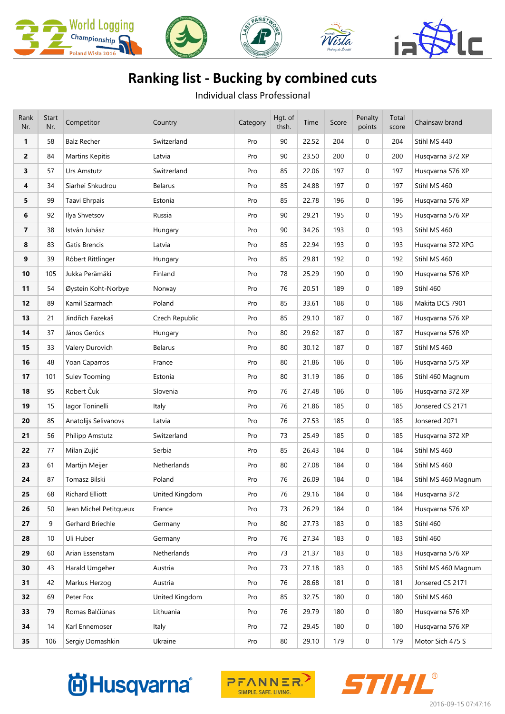

## **Ranking list - Bucking by combined cuts**

Individual class Professional

| Rank<br>Nr.             | Start<br>Nr. | Competitor             | Country        | Category | Hgt. of<br>thsh. | Time  | Score | Penalty<br>points | Total<br>score | Chainsaw brand      |
|-------------------------|--------------|------------------------|----------------|----------|------------------|-------|-------|-------------------|----------------|---------------------|
| $\mathbf{1}$            | 58           | <b>Balz Recher</b>     | Switzerland    | Pro      | 90               | 22.52 | 204   | $\mathbf{0}$      | 204            | Stihl MS 440        |
| $\mathbf{2}$            | 84           | Martins Kepitis        | Latvia         | Pro      | 90               | 23.50 | 200   | $\mathbf 0$       | 200            | Husqvarna 372 XP    |
| 3                       | 57           | Urs Amstutz            | Switzerland    | Pro      | 85               | 22.06 | 197   | $\mathbf{0}$      | 197            | Husqvarna 576 XP    |
| 4                       | 34           | Siarhei Shkudrou       | <b>Belarus</b> | Pro      | 85               | 24.88 | 197   | 0                 | 197            | Stihl MS 460        |
| 5                       | 99           | Taavi Ehrpais          | Estonia        | Pro      | 85               | 22.78 | 196   | 0                 | 196            | Husqvarna 576 XP    |
| 6                       | 92           | Ilya Shvetsov          | Russia         | Pro      | 90               | 29.21 | 195   | $\mathbf 0$       | 195            | Husgvarna 576 XP    |
| $\overline{\mathbf{z}}$ | 38           | István Juhász          | Hungary        | Pro      | 90               | 34.26 | 193   | $\mathbf 0$       | 193            | Stihl MS 460        |
| 8                       | 83           | Gatis Brencis          | Latvia         | Pro      | 85               | 22.94 | 193   | $\mathbf{0}$      | 193            | Husqvarna 372 XPG   |
| 9                       | 39           | Róbert Rittlinger      | Hungary        | Pro      | 85               | 29.81 | 192   | 0                 | 192            | Stihl MS 460        |
| 10                      | 105          | Jukka Perämäki         | Finland        | Pro      | 78               | 25.29 | 190   | $\mathbf{0}$      | 190            | Husqvarna 576 XP    |
| 11                      | 54           | Øystein Koht-Norbye    | Norway         | Pro      | 76               | 20.51 | 189   | $\mathbf 0$       | 189            | Stihl 460           |
| 12                      | 89           | Kamil Szarmach         | Poland         | Pro      | 85               | 33.61 | 188   | 0                 | 188            | Makita DCS 7901     |
| 13                      | 21           | Jindřich Fazekaš       | Czech Republic | Pro      | 85               | 29.10 | 187   | 0                 | 187            | Husqvarna 576 XP    |
| 14                      | 37           | János Gerőcs           | Hungary        | Pro      | 80               | 29.62 | 187   | $\mathbf 0$       | 187            | Husqvarna 576 XP    |
| 15                      | 33           | Valery Durovich        | <b>Belarus</b> | Pro      | 80               | 30.12 | 187   | $\mathbf{0}$      | 187            | Stihl MS 460        |
| 16                      | 48           | Yoan Caparros          | France         | Pro      | 80               | 21.86 | 186   | $\mathbf{0}$      | 186            | Husqvarna 575 XP    |
| 17                      | 101          | Sulev Tooming          | Estonia        | Pro      | 80               | 31.19 | 186   | $\mathbf{0}$      | 186            | Stihl 460 Magnum    |
| 18                      | 95           | Robert Čuk             | Slovenia       | Pro      | 76               | 27.48 | 186   | $\mathbf{0}$      | 186            | Husqvarna 372 XP    |
| 19                      | 15           | lagor Toninelli        | Italy          | Pro      | 76               | 21.86 | 185   | $\mathbf{0}$      | 185            | Jonsered CS 2171    |
| 20                      | 85           | Anatolijs Selivanovs   | Latvia         | Pro      | 76               | 27.53 | 185   | $\mathbf 0$       | 185            | Jonsered 2071       |
| 21                      | 56           | Philipp Amstutz        | Switzerland    | Pro      | 73               | 25.49 | 185   | 0                 | 185            | Husqvarna 372 XP    |
| 22                      | 77           | Milan Zujić            | Serbia         | Pro      | 85               | 26.43 | 184   | 0                 | 184            | Stihl MS 460        |
| 23                      | 61           | Martijn Meijer         | Netherlands    | Pro      | 80               | 27.08 | 184   | 0                 | 184            | Stihl MS 460        |
| 24                      | 87           | Tomasz Bilski          | Poland         | Pro      | 76               | 26.09 | 184   | $\mathbf{0}$      | 184            | Stihl MS 460 Magnum |
| 25                      | 68           | Richard Elliott        | United Kingdom | Pro      | 76               | 29.16 | 184   | $\mathbf 0$       | 184            | Husqvarna 372       |
| 26                      | 50           | Jean Michel Petitqueux | France         | Pro      | 73               | 26.29 | 184   | 0                 | 184            | Husgvarna 576 XP    |
| 27                      | 9            | Gerhard Briechle       | Germany        | Pro      | 80               | 27.73 | 183   | 0                 | 183            | Stihl 460           |
| 28                      | 10           | Uli Huber              | Germany        | Pro      | 76               | 27.34 | 183   | 0                 | 183            | Stihl 460           |
| 29                      | 60           | Arian Essenstam        | Netherlands    | Pro      | 73               | 21.37 | 183   | 0                 | 183            | Husqvarna 576 XP    |
| 30                      | 43           | Harald Umgeher         | Austria        | Pro      | 73               | 27.18 | 183   | 0                 | 183            | Stihl MS 460 Magnum |
| 31                      | 42           | Markus Herzog          | Austria        | Pro      | 76               | 28.68 | 181   | 0                 | 181            | Jonsered CS 2171    |
| 32                      | 69           | Peter Fox              | United Kingdom | Pro      | 85               | 32.75 | 180   | $\mathbf 0$       | 180            | Stihl MS 460        |
| 33                      | 79           | Romas Balčiūnas        | Lithuania      | Pro      | 76               | 29.79 | 180   | 0                 | 180            | Husqvarna 576 XP    |
| 34                      | 14           | Karl Ennemoser         | Italy          | Pro      | 72               | 29.45 | 180   | 0                 | 180            | Husqvarna 576 XP    |
| 35                      | 106          | Sergiy Domashkin       | Ukraine        | Pro      | 80               | 29.10 | 179   | $\mathbf 0$       | 179            | Motor Sich 475 S    |

## **尚Husqvarna**®



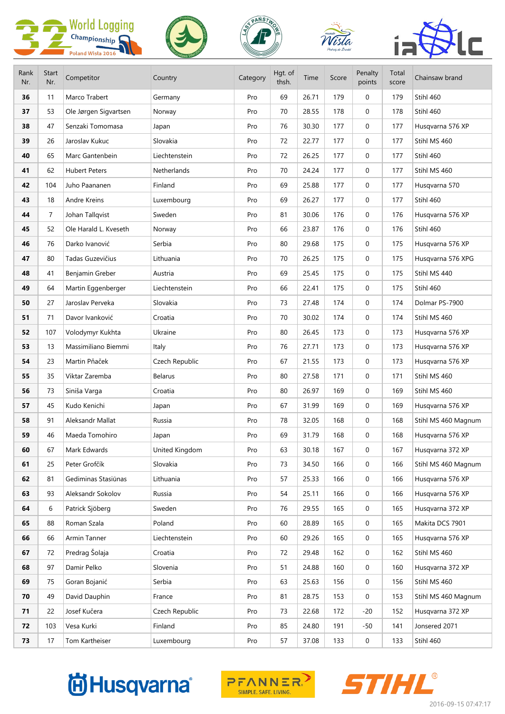|             |                | <b>World Logging</b><br>Championship<br>Poland Wisła 2016 |                | PANSTH   |                  |       |       |                   |                |                     |
|-------------|----------------|-----------------------------------------------------------|----------------|----------|------------------|-------|-------|-------------------|----------------|---------------------|
| Rank<br>Nr. | Start<br>Nr.   | Competitor                                                | Country        | Category | Hgt. of<br>thsh. | Time  | Score | Penalty<br>points | Total<br>score | Chainsaw brand      |
| 36          | 11             | Marco Trabert                                             | Germany        | Pro      | 69               | 26.71 | 179   | $\mathbf 0$       | 179            | Stihl 460           |
| 37          | 53             | Ole Jørgen Sigvartsen                                     | Norway         | Pro      | 70               | 28.55 | 178   | $\mathbf{0}$      | 178            | Stihl 460           |
| 38          | 47             | Senzaki Tomomasa                                          | Japan          | Pro      | 76               | 30.30 | 177   | $\mathbf{0}$      | 177            | Husqvarna 576 XP    |
| 39          | 26             | Jaroslav Kukuc                                            | Slovakia       | Pro      | 72               | 22.77 | 177   | $\mathbf{0}$      | 177            | Stihl MS 460        |
| 40          | 65             | Marc Gantenbein                                           | Liechtenstein  | Pro      | 72               | 26.25 | 177   | $\mathbf{0}$      | 177            | Stihl 460           |
| 41          | 62             | <b>Hubert Peters</b>                                      | Netherlands    | Pro      | 70               | 24.24 | 177   | $\mathbf 0$       | 177            | Stihl MS 460        |
| 42          | 104            | Juho Paananen                                             | Finland        | Pro      | 69               | 25.88 | 177   | $\mathbf{0}$      | 177            | Husqvarna 570       |
| 43          | 18             | Andre Kreins                                              | Luxembourg     | Pro      | 69               | 26.27 | 177   | $\mathbf 0$       | 177            | Stihl 460           |
| 44          | $\overline{7}$ | Johan Tallqvist                                           | Sweden         | Pro      | 81               | 30.06 | 176   | $\mathbf 0$       | 176            | Husqvarna 576 XP    |
| 45          | 52             | Ole Harald L. Kveseth                                     | Norway         | Pro      | 66               | 23.87 | 176   | $\mathbf 0$       | 176            | Stihl 460           |
| 46          | 76             | Darko Ivanović                                            | Serbia         | Pro      | 80               | 29.68 | 175   | $\mathbf{0}$      | 175            | Husqvarna 576 XP    |
| 47          | 80             | Tadas Guzevičius                                          | Lithuania      | Pro      | 70               | 26.25 | 175   | $\mathbf{0}$      | 175            | Husqvarna 576 XPG   |
| 48          | 41             | Benjamin Greber                                           | Austria        | Pro      | 69               | 25.45 | 175   | $\mathbf{0}$      | 175            | Stihl MS 440        |
| 49          | 64             | Martin Eggenberger                                        | Liechtenstein  | Pro      | 66               | 22.41 | 175   | $\mathbf{0}$      | 175            | Stihl 460           |
| 50          | 27             | Jaroslav Perveka                                          | Slovakia       | Pro      | 73               | 27.48 | 174   | $\mathbf 0$       | 174            | Dolmar PS-7900      |
| 51          | 71             | Davor Ivanković                                           | Croatia        | Pro      | 70               | 30.02 | 174   | $\mathbf 0$       | 174            | Stihl MS 460        |
| 52          | 107            | Volodymyr Kukhta                                          | Ukraine        | Pro      | 80               | 26.45 | 173   | $\mathbf 0$       | 173            | Husqvarna 576 XP    |
| 53          | 13             | Massimiliano Biemmi                                       | Italy          | Pro      | 76               | 27.71 | 173   | $\mathbf 0$       | 173            | Husqvarna 576 XP    |
| 54          | 23             | Martin Pňaček                                             | Czech Republic | Pro      | 67               | 21.55 | 173   | $\mathbf 0$       | 173            | Husqvarna 576 XP    |
| 55          | 35             | Viktar Zaremba                                            | <b>Belarus</b> | Pro      | 80               | 27.58 | 171   | 0                 | 171            | Stihl MS 460        |
| 56          | 73             | Siniša Varga                                              | Croatia        | Pro      | 80               | 26.97 | 169   | $\mathbf 0$       | 169            | Stihl MS 460        |
| 57          | 45             | Kudo Kenichi                                              | Japan          | Pro      | 67               | 31.99 | 169   | $\mathbf 0$       | 169            | Husqvarna 576 XP    |
| 58          | 91             | Aleksandr Mallat                                          | Russia         | Pro      | 78               | 32.05 | 168   | 0                 | 168            | Stihl MS 460 Magnum |
| 59          | 46             | Maeda Tomohiro                                            | Japan          | Pro      | 69               | 31.79 | 168   | $\mathbf 0$       | 168            | Husqvarna 576 XP    |
| 60          | 67             | Mark Edwards                                              | United Kingdom | Pro      | 63               | 30.18 | 167   | $\mathbf 0$       | 167            | Husqvarna 372 XP    |
| 61          | 25             | Peter Grofčík                                             | Slovakia       | Pro      | 73               | 34.50 | 166   | $\mathbf 0$       | 166            | Stihl MS 460 Magnum |
| 62          | 81             | Gediminas Stasiūnas                                       | Lithuania      | Pro      | 57               | 25.33 | 166   | 0                 | 166            | Husqvarna 576 XP    |
| 63          | 93             | Aleksandr Sokolov                                         | Russia         | Pro      | 54               | 25.11 | 166   | $\mathbf 0$       | 166            | Husqvarna 576 XP    |
| 64          | 6              | Patrick Sjöberg                                           | Sweden         | Pro      | 76               | 29.55 | 165   | $\mathbf 0$       | 165            | Husqvarna 372 XP    |
| 65          | 88             | Roman Szala                                               | Poland         | Pro      | 60               | 28.89 | 165   | $\mathbf 0$       | 165            | Makita DCS 7901     |
| 66          | 66             | Armin Tanner                                              | Liechtenstein  | Pro      | 60               | 29.26 | 165   | $\mathbf 0$       | 165            | Husqvarna 576 XP    |
| 67          | 72             | Predrag Šolaja                                            | Croatia        | Pro      | 72               | 29.48 | 162   | $\mathbf 0$       | 162            | Stihl MS 460        |
| 68          | 97             | Damir Pelko                                               | Slovenia       | Pro      | 51               | 24.88 | 160   | $\mathbf 0$       | 160            | Husqvarna 372 XP    |
| 69          | 75             | Goran Bojanić                                             | Serbia         | Pro      | 63               | 25.63 | 156   | $\mathbf 0$       | 156            | Stihl MS 460        |
| 70          | 49             | David Dauphin                                             | France         | Pro      | 81               | 28.75 | 153   | $\mathbf 0$       | 153            | Stihl MS 460 Magnum |
| 71          | 22             | Josef Kučera                                              | Czech Republic | Pro      | 73               | 22.68 | 172   | $-20$             | 152            | Husqvarna 372 XP    |
| 72          | 103            | Vesa Kurki                                                | Finland        | Pro      | 85               | 24.80 | 191   | $-50$             | 141            | Jonsered 2071       |
| 73          | 17             | Tom Kartheiser                                            | Luxembourg     | Pro      | 57               | 37.08 | 133   | $\boldsymbol{0}$  | 133            | Stihl 460           |

## **尚Husqvarna**